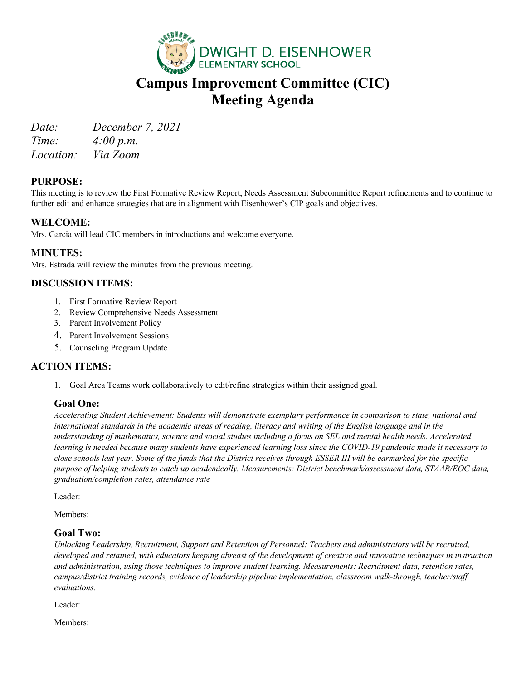

# **Campus Improvement Committee (CIC) Meeting Agenda**

*Date: December 7, 2021 Time: 4:00 p.m.*

*Location: Via Zoom*

## **PURPOSE:**

This meeting is to review the First Formative Review Report, Needs Assessment Subcommittee Report refinements and to continue to further edit and enhance strategies that are in alignment with Eisenhower's CIP goals and objectives.

## **WELCOME:**

Mrs. Garcia will lead CIC members in introductions and welcome everyone.

### **MINUTES:**

Mrs. Estrada will review the minutes from the previous meeting.

## **DISCUSSION ITEMS:**

- 1. First Formative Review Report
- 2. Review Comprehensive Needs Assessment
- 3. Parent Involvement Policy
- 4. Parent Involvement Sessions
- 5. Counseling Program Update

### **ACTION ITEMS:**

1. Goal Area Teams work collaboratively to edit/refine strategies within their assigned goal.

### **Goal One:**

*Accelerating Student Achievement: Students will demonstrate exemplary performance in comparison to state, national and*  international standards in the academic areas of reading, literacy and writing of the English language and in the *understanding of mathematics, science and social studies including a focus on SEL and mental health needs. Accelerated learning is needed because many students have experienced learning loss since the COVID-19 pandemic made it necessary to close schools last year. Some of the funds that the District receives through ESSER III will be earmarked for the specific purpose of helping students to catch up academically. Measurements: District benchmark/assessment data, STAAR/EOC data, graduation/completion rates, attendance rate*

Leader:

Members:

### **Goal Two:**

*Unlocking Leadership, Recruitment, Support and Retention of Personnel: Teachers and administrators will be recruited, developed and retained, with educators keeping abreast of the development of creative and innovative techniques in instruction and administration, using those techniques to improve student learning. Measurements: Recruitment data, retention rates, campus/district training records, evidence of leadership pipeline implementation, classroom walk-through, teacher/staff evaluations.*

Leader:

Members: